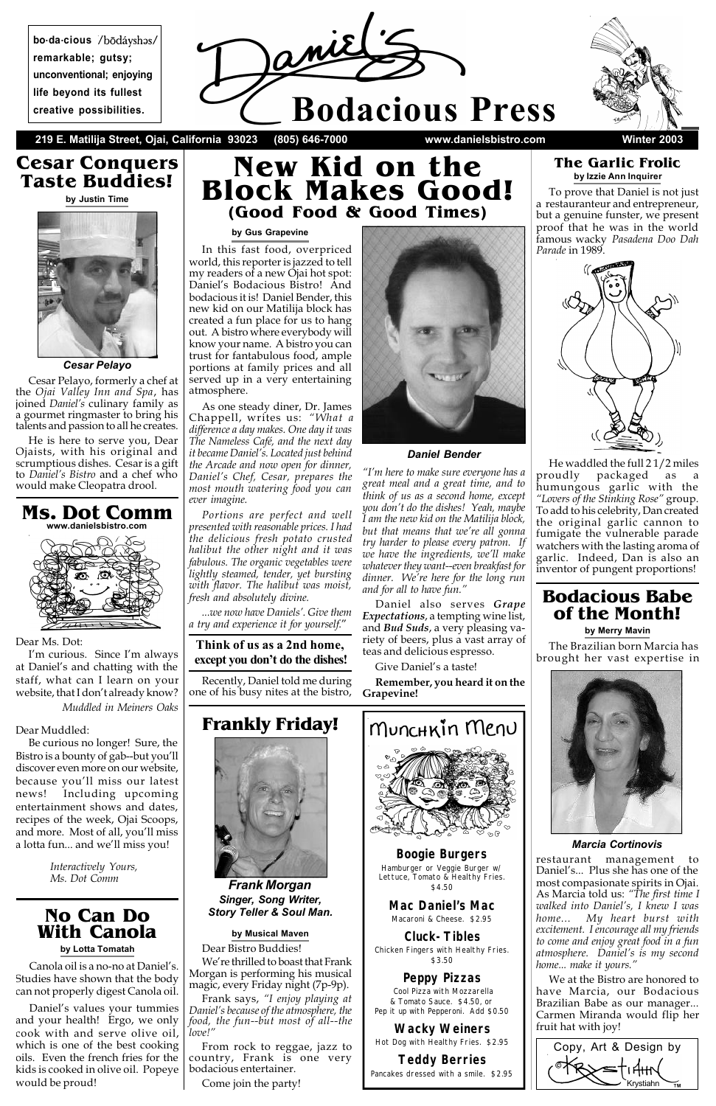

**219 E. Matilija Street, Ojai, California 93023 (805) 646-7000 www.danielsbistro.com Winter 2003**



# **New Kid on the Block Makes Good! (Good Food & Good Times)**

#### *Daniel Bender*

# **Cesar Conquers Taste Buddies!**

**by Justin Time**



Cesar Pelayo, formerly a chef at the *Ojai Valley Inn and Spa*, has joined *Daniel's* culinary family as a gourmet ringmaster to bring his talents and passion to all he creates.

He is here to serve you, Dear Ojaists, with his original and scrumptious dishes. Cesar is a gift to *Daniel's Bistro* and a chef who would make Cleopatra drool.

#### **by Gus Grapevine**

In this fast food, overpriced world, this reporter is jazzed to tell my readers of a new Ojai hot spot: Daniel's Bodacious Bistro! And bodacious it is! Daniel Bender, this new kid on our Matilija block has created a fun place for us to hang out. A bistro where everybody will know your name. A bistro you can trust for fantabulous food, ample portions at family prices and all served up in a very entertaining atmosphere.

As one steady diner, Dr. James Chappell, writes us: *"What a difference a day makes. One day it was The Nameless Café, and the next day it became Daniel's. Located just behind the Arcade and now open for dinner, Daniel's Chef, Cesar, prepares the most mouth watering food you can ever imagine.*

*Portions are perfect and well presented with reasonable prices. I had the delicious fresh potato crusted halibut the other night and it was fabulous. The organic vegetables were lightly steamed, tender, yet bursting with flavor. The halibut was moist, fresh and absolutely divine.*

*...we now have Daniels'. Give them a try and experience it for yourself.*"

### **Think of us as a 2nd home, except you don't do the dishes!**

Recently, Daniel told me during one of his busy nites at the bistro,

*"I'm here to make sure everyone has a great meal and a great time, and to think of us as a second home, except you don't do the dishes! Yeah, maybe I am the new kid on the Matilija block, but that means that we're all gonna try harder to please every patron. If we have the ingredients, we'll make whatever they want--even breakfast for dinner. We're here for the long run and for all to have fun."*

Daniel also serves *Grape Expectations*, a tempting wine list, and *Bud Suds*, a very pleasing variety of beers, plus a vast array of teas and delicious espresso.

Give Daniel's a taste!

**Remember, you heard it on the Grapevine!**



## **No Can Do With Canola**

#### **by Lotta Tomatah**

Canola oil is a no-no at Daniel's. Studies have shown that the body can not properly digest Canola oil.

Daniel's values your tummies and your health! Ergo, we only cook with and serve olive oil, which is one of the best cooking oils. Even the french fries for the kids is cooked in olive oil. Popeye would be proud!







*Frank Morgan Singer, Song Writer, Story Teller & Soul Man.*

#### **by Musical Maven**

Dear Bistro Buddies!

We're thrilled to boast that Frank Morgan is performing his musical magic, every Friday night (7p-9p). Frank says, *"I enjoy playing at Daniel's because of the atmosphere, the food, the fun--but most of all--the love!"*

From rock to reggae, jazz to country, Frank is one very bodacious entertainer.

Come join the party!

### *Boogie Burgers*

Hamburger or Veggie Burger w/ Lettuce, Tomato & Healthy Fries. \$4.50

#### *Mac Daniel's Mac*

Macaroni & Cheese. \$2.95

### *Cluck-Tibles*

Chicken Fingers with Healthy Fries. \$3.50

### *Peppy Pizzas*

 Cool Pizza with Mozzarella & Tomato Sauce. \$4.50, or Pep it up with Pepperoni. Add \$0.50

### *Wacky Weiners* Hot Dog with Healthy Fries. \$2.95

#### *Teddy Berries* Pancakes dressed with a smile. \$2.95



*Cesar Pelayo*

# **Bodacious Babe of the Month!**

**by Merry Mavin**

The Brazilian born Marcia has brought her vast expertise in



#### *Marcia Cortinovis*

restaurant management to Daniel's... Plus she has one of the most compasionate spirits in Ojai. As Marcia told us: *"The first time I walked into Daniel's, I knew I was home... My heart burst with excitement. I encourage all my friends to come and enjoy great food in a fun atmosphere. Daniel's is my second home... make it yours."*

We at the Bistro are honored to have Marcia, our Bodacious Brazilian Babe as our manager... Carmen Miranda would flip her fruit hat with joy!

### **The Garlic Frolic by Izzie Ann Inquirer**

To prove that Daniel is not just a restauranteur and entrepreneur, but a genuine funster, we present proof that he was in the world famous wacky *Pasadena Doo Dah Parade* in 1989.



He waddled the full 2 1/2 miles proudly packaged as a humungous garlic with the *"Lovers of the Stinking Rose"* group. To add to his celebrity, Dan created the original garlic cannon to fumigate the vulnerable parade watchers with the lasting aroma of garlic. Indeed, Dan is also an inventor of pungent proportions!



Dear Ms. Dot:

I'm curious. Since I'm always at Daniel's and chatting with the staff, what can I learn on your website, that I don't already know? *Muddled in Meiners Oaks*

#### Dear Muddled:

Be curious no longer! Sure, the Bistro is a bounty of gab--but you'll discover even more on our website, because you'll miss our latest news! Including upcoming entertainment shows and dates, recipes of the week, Ojai Scoops, and more. Most of all, you'll miss a lotta fun... and we'll miss you!

> *Interactively Yours, Ms. Dot Comm*

**bo.da.cious remarkable; gutsy; unconventional; enjoying life beyond its fullest creative possibilities.**